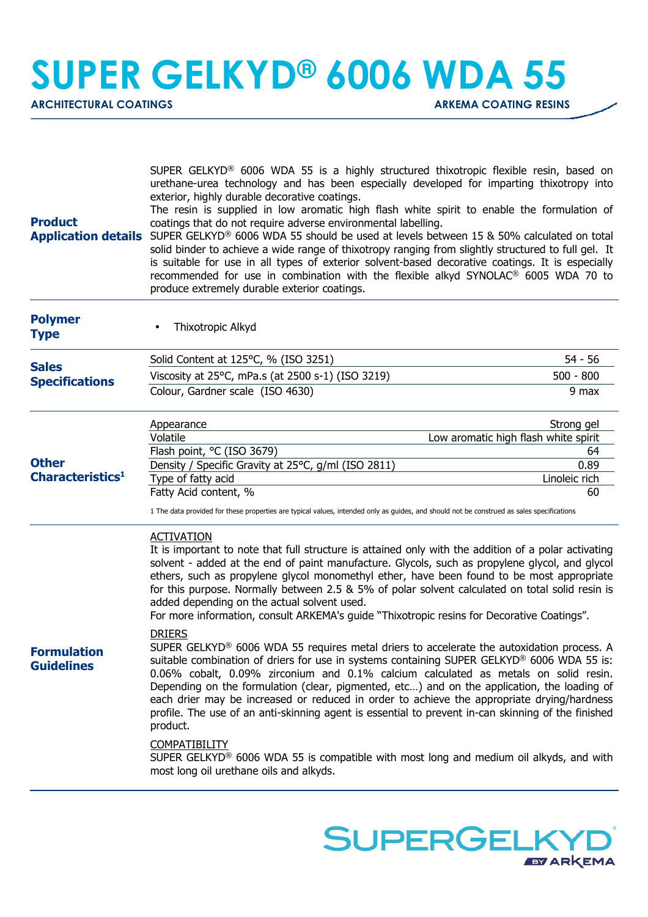## **SUPER GELKYD® 6006 WDA 55**

ARCHITECTURAL COATINGS **ARKEMA COATING RESINS** 

| <b>Product</b><br><b>Application details</b> | SUPER GELKYD <sup>®</sup> 6006 WDA 55 is a highly structured thixotropic flexible resin, based on<br>urethane-urea technology and has been especially developed for imparting thixotropy into<br>exterior, highly durable decorative coatings.<br>The resin is supplied in low aromatic high flash white spirit to enable the formulation of<br>coatings that do not require adverse environmental labelling.<br>SUPER GELKYD® 6006 WDA 55 should be used at levels between 15 & 50% calculated on total<br>solid binder to achieve a wide range of thixotropy ranging from slightly structured to full gel. It<br>is suitable for use in all types of exterior solvent-based decorative coatings. It is especially<br>recommended for use in combination with the flexible alkyd SYNOLAC® 6005 WDA 70 to<br>produce extremely durable exterior coatings. |                                      |
|----------------------------------------------|-----------------------------------------------------------------------------------------------------------------------------------------------------------------------------------------------------------------------------------------------------------------------------------------------------------------------------------------------------------------------------------------------------------------------------------------------------------------------------------------------------------------------------------------------------------------------------------------------------------------------------------------------------------------------------------------------------------------------------------------------------------------------------------------------------------------------------------------------------------|--------------------------------------|
| <b>Polymer</b><br><b>Type</b>                | Thixotropic Alkyd                                                                                                                                                                                                                                                                                                                                                                                                                                                                                                                                                                                                                                                                                                                                                                                                                                         |                                      |
|                                              | Solid Content at 125°C, % (ISO 3251)                                                                                                                                                                                                                                                                                                                                                                                                                                                                                                                                                                                                                                                                                                                                                                                                                      | 54 - 56                              |
| <b>Sales</b><br><b>Specifications</b>        | Viscosity at 25°C, mPa.s (at 2500 s-1) (ISO 3219)                                                                                                                                                                                                                                                                                                                                                                                                                                                                                                                                                                                                                                                                                                                                                                                                         | $500 - 800$                          |
|                                              | Colour, Gardner scale (ISO 4630)                                                                                                                                                                                                                                                                                                                                                                                                                                                                                                                                                                                                                                                                                                                                                                                                                          | 9 max                                |
|                                              | Appearance                                                                                                                                                                                                                                                                                                                                                                                                                                                                                                                                                                                                                                                                                                                                                                                                                                                | Strong gel                           |
|                                              | Volatile                                                                                                                                                                                                                                                                                                                                                                                                                                                                                                                                                                                                                                                                                                                                                                                                                                                  | Low aromatic high flash white spirit |
| <b>Other</b>                                 | Flash point, °C (ISO 3679)                                                                                                                                                                                                                                                                                                                                                                                                                                                                                                                                                                                                                                                                                                                                                                                                                                | 64                                   |
| Characteristics <sup>1</sup>                 | Density / Specific Gravity at 25°C, g/ml (ISO 2811)<br>Type of fatty acid                                                                                                                                                                                                                                                                                                                                                                                                                                                                                                                                                                                                                                                                                                                                                                                 | 0.89<br>Linoleic rich                |
|                                              | Fatty Acid content, %                                                                                                                                                                                                                                                                                                                                                                                                                                                                                                                                                                                                                                                                                                                                                                                                                                     | 60                                   |
|                                              | 1 The data provided for these properties are typical values, intended only as guides, and should not be construed as sales specifications                                                                                                                                                                                                                                                                                                                                                                                                                                                                                                                                                                                                                                                                                                                 |                                      |
| <b>Formulation</b><br><b>Guidelines</b>      | <b>ACTIVATION</b><br>It is important to note that full structure is attained only with the addition of a polar activating<br>solvent - added at the end of paint manufacture. Glycols, such as propylene glycol, and glycol<br>ethers, such as propylene glycol monomethyl ether, have been found to be most appropriate<br>for this purpose. Normally between 2.5 & 5% of polar solvent calculated on total solid resin is<br>added depending on the actual solvent used.<br>For more information, consult ARKEMA's guide "Thixotropic resins for Decorative Coatings".                                                                                                                                                                                                                                                                                  |                                      |
|                                              | <b>DRIERS</b><br>SUPER GELKYD <sup>®</sup> 6006 WDA 55 requires metal driers to accelerate the autoxidation process. A<br>suitable combination of driers for use in systems containing SUPER GELKYD <sup>®</sup> 6006 WDA 55 is:<br>0.06% cobalt, 0.09% zirconium and 0.1% calcium calculated as metals on solid resin.<br>Depending on the formulation (clear, pigmented, etc) and on the application, the loading of<br>each drier may be increased or reduced in order to achieve the appropriate drying/hardness<br>profile. The use of an anti-skinning agent is essential to prevent in-can skinning of the finished<br>product.                                                                                                                                                                                                                    |                                      |
|                                              | <b>COMPATIBILITY</b><br>SUPER GELKYD <sup>®</sup> 6006 WDA 55 is compatible with most long and medium oil alkyds, and with<br>most long oil urethane oils and alkyds.                                                                                                                                                                                                                                                                                                                                                                                                                                                                                                                                                                                                                                                                                     |                                      |

**SUPERGELK** 

**EY ARKEMA**